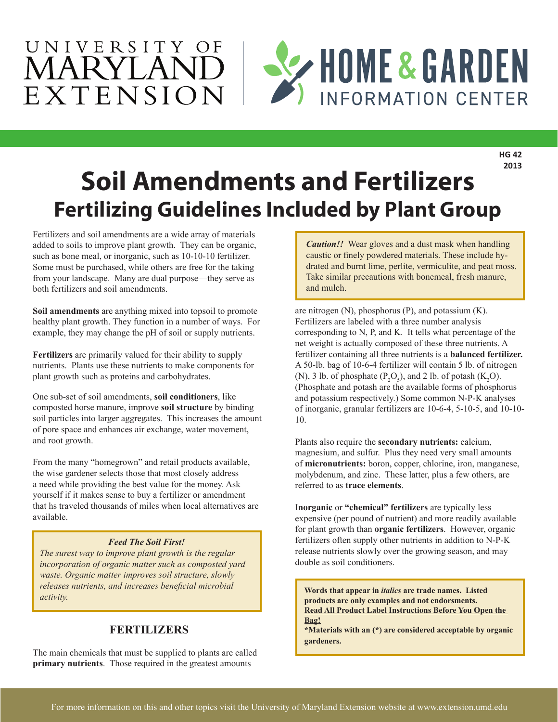

**HG 42 2013**

# **Soil Amendments and Fertilizers Fertilizing Guidelines Included by Plant Group**

Fertilizers and soil amendments are a wide array of materials added to soils to improve plant growth. They can be organic, such as bone meal, or inorganic, such as 10-10-10 fertilizer. Some must be purchased, while others are free for the taking from your landscape. Many are dual purpose—they serve as both fertilizers and soil amendments.

**Soil amendments** are anything mixed into topsoil to promote healthy plant growth. They function in a number of ways. For example, they may change the pH of soil or supply nutrients.

**Fertilizers** are primarily valued for their ability to supply nutrients. Plants use these nutrients to make components for plant growth such as proteins and carbohydrates.

One sub-set of soil amendments, **soil conditioners**, like composted horse manure, improve **soil structure** by binding soil particles into larger aggregates. This increases the amount of pore space and enhances air exchange, water movement, and root growth.

From the many "homegrown" and retail products available, the wise gardener selects those that most closely address a need while providing the best value for the money. Ask yourself if it makes sense to buy a fertilizer or amendment that hs traveled thousands of miles when local alternatives are available.

### *Feed The Soil First!*

*The surest way to improve plant growth is the regular incorporation of organic matter such as composted yard waste. Organic matter improves soil structure, slowly releases nutrients, and increases beneficial microbial activity. activity activity.* **<b>a** *activity activity activity activity*.

### **FERTILIZERS**

The main chemicals that must be supplied to plants are called **primary nutrients**. Those required in the greatest amounts

*Caution!!* Wear gloves and a dust mask when handling caustic or finely powdered materials. These include hydrated and burnt lime, perlite, vermiculite, and peat moss. Take similar precautions with bonemeal, fresh manure, and mulch.

are nitrogen (N), phosphorus (P), and potassium (K). Fertilizers are labeled with a three number analysis corresponding to N, P, and K. It tells what percentage of the net weight is actually composed of these three nutrients. A fertilizer containing all three nutrients is a **balanced fertilizer.** A 50-lb. bag of 10-6-4 fertilizer will contain 5 lb. of nitrogen (N), 3 lb. of phosphate ( $P_2O_5$ ), and 2 lb. of potash (K<sub>2</sub>O). (Phosphate and potash are the available forms of phosphorus and potassium respectively.) Some common N-P-K analyses of inorganic, granular fertilizers are 10-6-4, 5-10-5, and 10-10- 10.

Plants also require the **secondary nutrients:** calcium, magnesium, and sulfur. Plus they need very small amounts of **micronutrients:** boron, copper, chlorine, iron, manganese, molybdenum, and zinc. These latter, plus a few others, are referred to as **trace elements**.

I**norganic** or **"chemical" fertilizers** are typically less expensive (per pound of nutrient) and more readily available for plant growth than **organic fertilizers**. However, organic fertilizers often supply other nutrients in addition to N-P-K release nutrients slowly over the growing season, and may double as soil conditioners.

**products are only examples and not endorsments. Read All Product Label Instructions Before You Open the Bag!**

**\*Materials with an (\*) are considered acceptable by organic gardeners.**

1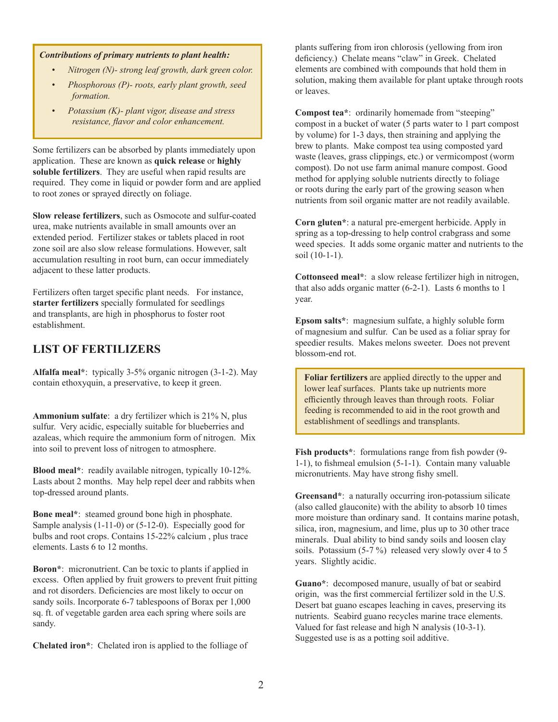#### *Contributions of primary nutrients to plant health:*

- *• Nitrogen (N)- strong leaf growth, dark green color.*
- *• Phosphorous (P)- roots, early plant growth, seed formation.*
- *• Potassium (K)- plant vigor, disease and stress resistance, flavor and color enhancement.*

Some fertilizers can be absorbed by plants immediately upon application. These are known as **quick release** or **highly soluble fertilizers**. They are useful when rapid results are required. They come in liquid or powder form and are applied to root zones or sprayed directly on foliage.

**Slow release fertilizers**, such as Osmocote and sulfur-coated urea, make nutrients available in small amounts over an extended period. Fertilizer stakes or tablets placed in root zone soil are also slow release formulations. However, salt accumulation resulting in root burn, can occur immediately adjacent to these latter products.

Fertilizers often target specific plant needs. For instance, **starter fertilizers** specially formulated for seedlings and transplants, are high in phosphorus to foster root establishment.

### **LIST OF FERTILIZERS**

**Alfalfa meal\***: typically 3-5% organic nitrogen (3-1-2). May contain ethoxyquin, a preservative, to keep it green.

**Ammonium sulfate**: a dry fertilizer which is 21% N, plus sulfur. Very acidic, especially suitable for blueberries and azaleas, which require the ammonium form of nitrogen. Mix into soil to prevent loss of nitrogen to atmosphere.

**Blood meal\***: readily available nitrogen, typically 10-12%. Lasts about 2 months. May help repel deer and rabbits when top-dressed around plants.

**Bone meal\***: steamed ground bone high in phosphate. Sample analysis (1-11-0) or (5-12-0). Especially good for bulbs and root crops. Contains 15-22% calcium , plus trace elements. Lasts 6 to 12 months.

**Boron\***: micronutrient. Can be toxic to plants if applied in excess. Often applied by fruit growers to prevent fruit pitting and rot disorders. Deficiencies are most likely to occur on sandy soils. Incorporate 6-7 tablespoons of Borax per 1,000 sq. ft. of vegetable garden area each spring where soils are sandy.

**Chelated iron\***: Chelated iron is applied to the folliage of

plants suffering from iron chlorosis (yellowing from iron deficiency.) Chelate means "claw" in Greek. Chelated elements are combined with compounds that hold them in solution, making them available for plant uptake through roots or leaves.

**Compost tea\***: ordinarily homemade from "steeping" compost in a bucket of water (5 parts water to 1 part compost by volume) for 1-3 days, then straining and applying the brew to plants. Make compost tea using composted yard waste (leaves, grass clippings, etc.) or vermicompost (worm compost). Do not use farm animal manure compost. Good method for applying soluble nutrients directly to foliage or roots during the early part of the growing season when nutrients from soil organic matter are not readily available.

**Corn gluten\***: a natural pre-emergent herbicide. Apply in spring as a top-dressing to help control crabgrass and some weed species. It adds some organic matter and nutrients to the soil (10-1-1).

**Cottonseed meal\***: a slow release fertilizer high in nitrogen, that also adds organic matter (6-2-1). Lasts 6 months to 1 year.

**Epsom salts\***: magnesium sulfate, a highly soluble form of magnesium and sulfur. Can be used as a foliar spray for speedier results. Makes melons sweeter. Does not prevent blossom-end rot.

**Foliar fertilizers** are applied directly to the upper and lower leaf surfaces. Plants take up nutrients more efficiently through leaves than through roots. Foliar feeding is recommended to aid in the root growth and establishment of seedlings and transplants.

**Fish products\***: formulations range from fish powder (9- 1-1), to fishmeal emulsion (5-1-1). Contain many valuable micronutrients. May have strong fishy smell.

**Greensand\***: a naturally occurring iron-potassium silicate (also called glauconite) with the ability to absorb 10 times more moisture than ordinary sand. It contains marine potash, silica, iron, magnesium, and lime, plus up to 30 other trace minerals. Dual ability to bind sandy soils and loosen clay soils. Potassium (5-7 %) released very slowly over 4 to 5 years. Slightly acidic.

**Guano\***: decomposed manure, usually of bat or seabird origin, was the first commercial fertilizer sold in the U.S. Desert bat guano escapes leaching in caves, preserving its nutrients. Seabird guano recycles marine trace elements. Valued for fast release and high N analysis (10-3-1). Suggested use is as a potting soil additive.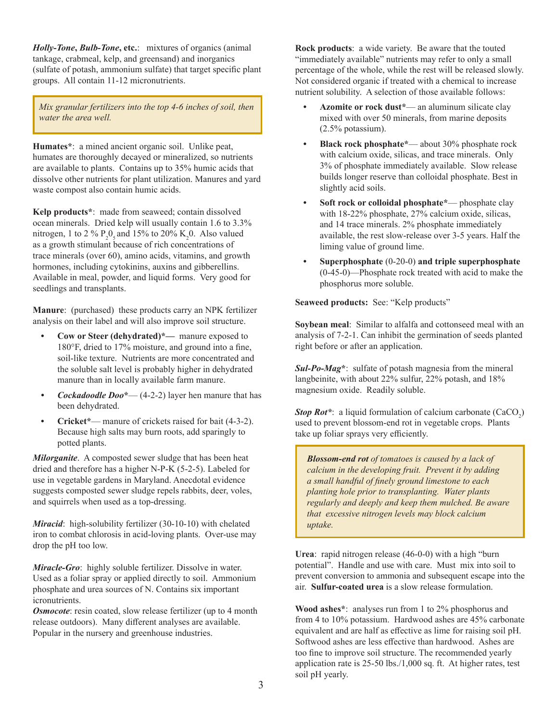*Holly-Tone***,** *Bulb-Tone***, etc.**: mixtures of organics (animal tankage, crabmeal, kelp, and greensand) and inorganics (sulfate of potash, ammonium sulfate) that target specific plant groups. All contain 11-12 micronutrients.

*Mix granular fertilizers into the top 4-6 inches of soil, then water the area well.* 

**Humates\***: a mined ancient organic soil. Unlike peat, humates are thoroughly decayed or mineralized, so nutrients are available to plants. Contains up to 35% humic acids that dissolve other nutrients for plant utilization. Manures and yard waste compost also contain humic acids.

**Kelp products\***: made from seaweed; contain dissolved ocean minerals. Dried kelp will usually contain 1.6 to 3.3% nitrogen, 1 to 2 %  $P_2O_5$  and 15% to 20%  $K_2O$ . Also valued as a growth stimulant because of rich concentrations of trace minerals (over 60), amino acids, vitamins, and growth hormones, including cytokinins, auxins and gibberellins. Available in meal, powder, and liquid forms. Very good for seedlings and transplants.

**Manure**: (purchased) these products carry an NPK fertilizer analysis on their label and will also improve soil structure.

- **• Cow or Steer (dehydrated)\*—** manure exposed to 180°F, dried to 17% moisture, and ground into a fine, soil-like texture. Nutrients are more concentrated and the soluble salt level is probably higher in dehydrated manure than in locally available farm manure.
- *• Cockadoodle Doo***\*** (4-2-2) layer hen manure that has been dehydrated.
- **• Cricket\*** manure of crickets raised for bait (4-3-2). Because high salts may burn roots, add sparingly to potted plants.

*Milorganite*. A composted sewer sludge that has been heat dried and therefore has a higher N-P-K (5-2-5). Labeled for use in vegetable gardens in Maryland. Anecdotal evidence suggests composted sewer sludge repels rabbits, deer, voles, and squirrels when used as a top-dressing.

*Miracid*: high-solubility fertilizer (30-10-10) with chelated iron to combat chlorosis in acid-loving plants. Over-use may drop the pH too low.

*Miracle-Gro*: highly soluble fertilizer. Dissolve in water. Used as a foliar spray or applied directly to soil. Ammonium phosphate and urea sources of N. Contains six important icronutrients.

*Osmocote*: resin coated, slow release fertilizer (up to 4 month release outdoors). Many different analyses are available. Popular in the nursery and greenhouse industries.

**Rock products**: a wide variety. Be aware that the touted "immediately available" nutrients may refer to only a small percentage of the whole, while the rest will be released slowly. Not considered organic if treated with a chemical to increase nutrient solubility. A selection of those available follows:

- **• Azomite or rock dust\*** an aluminum silicate clay mixed with over 50 minerals, from marine deposits (2.5% potassium).
- **• Black rock phosphate\*** about 30% phosphate rock with calcium oxide, silicas, and trace minerals. Only 3% of phosphate immediately available. Slow release builds longer reserve than colloidal phosphate. Best in slightly acid soils.
- **• Soft rock or colloidal phosphate\*** phosphate clay with 18-22% phosphate, 27% calcium oxide, silicas, and 14 trace minerals. 2% phosphate immediately available, the rest slow-release over 3-5 years. Half the liming value of ground lime.
- **• Superphosphate** (0-20-0) **and triple superphosphate**  (0-45-0)—Phosphate rock treated with acid to make the phosphorus more soluble.

**Seaweed products:** See: "Kelp products"

**Soybean meal**: Similar to alfalfa and cottonseed meal with an analysis of 7-2-1. Can inhibit the germination of seeds planted right before or after an application.

*Sul-Po-Mag***\***: sulfate of potash magnesia from the mineral langbeinite, with about 22% sulfur, 22% potash, and 18% magnesium oxide. Readily soluble.

**Stop Rot\*:** a liquid formulation of calcium carbonate (CaCO<sub>2</sub>) used to prevent blossom-end rot in vegetable crops. Plants take up foliar sprays very efficiently.

*Blossom-end rot of tomatoes is caused by a lack of calcium in the developing fruit. Prevent it by adding a small handful of finely ground limestone to each planting hole prior to transplanting. Water plants regularly and deeply and keep them mulched. Be aware that excessive nitrogen levels may block calcium uptake.*

**Urea**: rapid nitrogen release (46-0-0) with a high "burn potential". Handle and use with care. Must mix into soil to prevent conversion to ammonia and subsequent escape into the air. **Sulfur-coated urea** is a slow release formulation.

**Wood ashes\***: analyses run from 1 to 2% phosphorus and from 4 to 10% potassium. Hardwood ashes are 45% carbonate equivalent and are half as effective as lime for raising soil pH. Softwood ashes are less effective than hardwood. Ashes are too fine to improve soil structure. The recommended yearly application rate is 25-50 lbs./1,000 sq. ft. At higher rates, test soil pH yearly.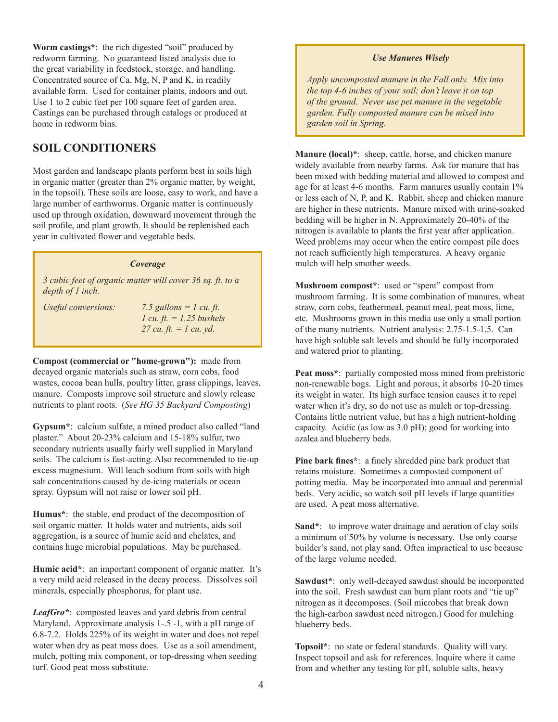**Worm castings\***: the rich digested "soil" produced by redworm farming. No guaranteed listed analysis due to the great variability in feedstock, storage, and handling. Concentrated source of Ca, Mg, N, P and K, in readily available form. Used for container plants, indoors and out. Use 1 to 2 cubic feet per 100 square feet of garden area. Castings can be purchased through catalogs or produced at home in redworm bins.

### **SOIL CONDITIONERS**

Most garden and landscape plants perform best in soils high in organic matter (greater than 2% organic matter, by weight, in the topsoil). These soils are loose, easy to work, and have a large number of earthworms. Organic matter is continuously used up through oxidation, downward movement through the soil profile, and plant growth. It should be replenished each year in cultivated flower and vegetable beds.

### *Coverage*

*3 cubic feet of organic matter will cover 36 sq. ft. to a depth of 1 inch.* 

*Useful conversions: 7.5 gallons = 1 cu. ft. 1 cu. ft. = 1.25 bushels 27 cu. ft. = 1 cu. yd.*

**Compost (commercial or "home-grown"):** made from decayed organic materials such as straw, corn cobs, food wastes, cocoa bean hulls, poultry litter, grass clippings, leaves, manure. Composts improve soil structure and slowly release nutrients to plant roots. (*See HG 35 Backyard Composting*)

**Gypsum\***: calcium sulfate, a mined product also called "land plaster." About 20-23% calcium and 15-18% sulfur, two secondary nutrients usually fairly well supplied in Maryland soils. The calcium is fast-acting. Also recommended to tie-up excess magnesium. Will leach sodium from soils with high salt concentrations caused by de-icing materials or ocean spray. Gypsum will not raise or lower soil pH.

**Humus\***: the stable, end product of the decomposition of soil organic matter. It holds water and nutrients, aids soil aggregation, is a source of humic acid and chelates, and contains huge microbial populations. May be purchased.

**Humic acid\***: an important component of organic matter. It's a very mild acid released in the decay process. Dissolves soil minerals, especially phosphorus, for plant use.

*LeafGro\**: composted leaves and yard debris from central Maryland. Approximate analysis 1-.5 -1, with a pH range of 6.8-7.2. Holds 225% of its weight in water and does not repel water when dry as peat moss does. Use as a soil amendment, mulch, potting mix component, or top-dressing when seeding turf. Good peat moss substitute.

#### *Use Manures Wisely*

*Apply uncomposted manure in the Fall only. Mix into the top 4-6 inches of your soil; don't leave it on top of the ground. Never use pet manure in the vegetable garden. Fully composted manure can be mixed into garden soil in Spring.*

**Manure (local)\***: sheep, cattle, horse, and chicken manure widely available from nearby farms. Ask for manure that has been mixed with bedding material and allowed to compost and age for at least 4-6 months. Farm manures usually contain 1% or less each of N, P, and K. Rabbit, sheep and chicken manure are higher in these nutrients. Manure mixed with urine-soaked bedding will be higher in N. Approximately 20-40% of the nitrogen is available to plants the first year after application. Weed problems may occur when the entire compost pile does not reach sufficiently high temperatures. A heavy organic mulch will help smother weeds.

**Mushroom compost\***: used or "spent" compost from mushroom farming. It is some combination of manures, wheat straw, corn cobs, feathermeal, peanut meal, peat moss, lime, etc. Mushrooms grown in this media use only a small portion of the many nutrients. Nutrient analysis: 2.75-1.5-1.5. Can have high soluble salt levels and should be fully incorporated and watered prior to planting.

**Peat moss\***: partially composted moss mined from prehistoric non-renewable bogs. Light and porous, it absorbs 10-20 times its weight in water. Its high surface tension causes it to repel water when it's dry, so do not use as mulch or top-dressing. Contains little nutrient value, but has a high nutrient-holding capacity. Acidic (as low as 3.0 pH); good for working into azalea and blueberry beds.

**Pine bark fines\***: a finely shredded pine bark product that retains moisture. Sometimes a composted component of potting media. May be incorporated into annual and perennial beds. Very acidic, so watch soil pH levels if large quantities are used. A peat moss alternative.

**Sand\***: to improve water drainage and aeration of clay soils a minimum of 50% by volume is necessary. Use only coarse builder's sand, not play sand. Often impractical to use because of the large volume needed.

**Sawdust\***: only well-decayed sawdust should be incorporated into the soil. Fresh sawdust can burn plant roots and "tie up" nitrogen as it decomposes. (Soil microbes that break down the high-carbon sawdust need nitrogen.) Good for mulching blueberry beds.

**Topsoil\***: no state or federal standards. Quality will vary. Inspect topsoil and ask for references. Inquire where it came from and whether any testing for pH, soluble salts, heavy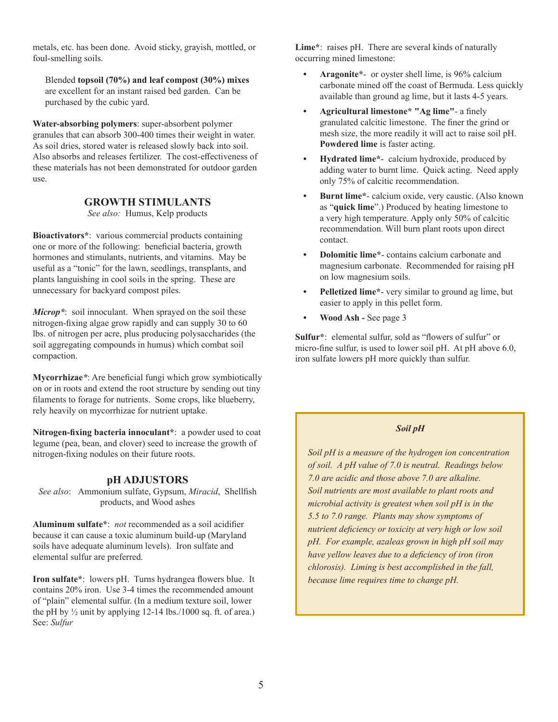metals, etc. has been done. Avoid sticky, grayish, mottled, or foul-smelling soils.

Blended **topsoil (70%) and leaf compost (30%) mixes** are excellent for an instant raised bed garden. Can be purchased by the cubic yard.

**Water-absorbing polymers**: super-absorbent polymer granules that can absorb 300-400 times their weight in water. As soil dries, stored water is released slowly back into soil. Also absorbs and releases fertilizer. The cost-effectiveness of these materials has not been demonstrated for outdoor garden use.

### **GROWTH STIMULANTS**

*See also:* Humus, Kelp products

**Bioactivators\***: various commercial products containing one or more of the following: beneficial bacteria, growth hormones and stimulants, nutrients, and vitamins. May be useful as a "tonic" for the lawn, seedlings, transplants, and plants languishing in cool soils in the spring. These are unnecessary for backyard compost piles.

*Microp\**: soil innoculant. When sprayed on the soil these nitrogen-fixing algae grow rapidly and can supply 30 to 60 lbs. of nitrogen per acre, plus producing polysaccharides (the soil aggregating compounds in humus) which combat soil compaction.

**Mycorrhizae***\**: Are beneficial fungi which grow symbiotically on or in roots and extend the root structure by sending out tiny filaments to forage for nutrients. Some crops, like blueberry, rely heavily on mycorrhizae for nutrient uptake.

**Nitrogen-fixing bacteria innoculant\***: a powder used to coat legume (pea, bean, and clover) seed to increase the growth of nitrogen-fixing nodules on their future roots.

#### **pH ADJUSTORS**

*See also*: Ammonium sulfate, Gypsum, *Miracid*, Shellfish products, and Wood ashes

**Aluminum sulfate\***: *not* recommended as a soil acidifier because it can cause a toxic aluminum build-up (Maryland soils have adequate aluminum levels). Iron sulfate and elemental sulfur are preferred.

**Iron sulfate\***: lowers pH. Turns hydrangea flowers blue. It contains 20% iron. Use 3-4 times the recommended amount of "plain" elemental sulfur. (In a medium texture soil, lower the pH by  $\frac{1}{2}$  unit by applying 12-14 lbs./1000 sq. ft. of area.) See: *Sulfur*

**Lime\***: raises pH. There are several kinds of naturally occurring mined limestone:

- **• Aragonite\*** or oyster shell lime, is 96% calcium carbonate mined off the coast of Bermuda. Less quickly available than ground ag lime, but it lasts 4-5 years.
- **• Agricultural limestone\* "Ag lime"** a finely granulated calcitic limestone. The finer the grind or mesh size, the more readily it will act to raise soil pH. **Powdered lime** is faster acting.
- **• Hydrated lime\*** calcium hydroxide, produced by adding water to burnt lime. Quick acting. Need apply only 75% of calcitic recommendation.
- **• Burnt lime\*** calcium oxide, very caustic. (Also known as "**quick lime**".) Produced by heating limestone to a very high temperature. Apply only 50% of calcitic recommendation. Will burn plant roots upon direct contact.
- **• Dolomitic lime\*** contains calcium carbonate and magnesium carbonate. Recommended for raising pH on low magnesium soils.
- **• Pelletized lime\*** very similar to ground ag lime, but easier to apply in this pellet form.
- **• Wood Ash** See page 3

**Sulfur\***: elemental sulfur, sold as "flowers of sulfur" or micro-fine sulfur, is used to lower soil pH. At pH above 6.0, iron sulfate lowers pH more quickly than sulfur.

### *Soil pH*

*Soil pH is a measure of the hydrogen ion concentration of soil. A pH value of 7.0 is neutral. Readings below 7.0 are acidic and those above 7.0 are alkaline. Soil nutrients are most available to plant roots and microbial activity is greatest when soil pH is in the 5.5 to 7.0 range. Plants may show symptoms of nutrient deficiency or toxicity at very high or low soil pH. For example, azaleas grown in high pH soil may have yellow leaves due to a deficiency of iron (iron chlorosis). Liming is best accomplished in the fall, because lime requires time to change pH.*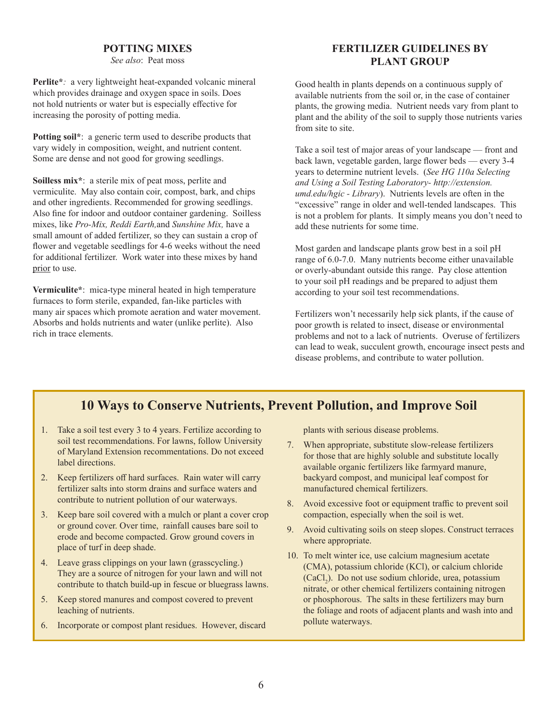### **POTTING MIXES**

*See also*: Peat moss

**Perlite\****:* a very lightweight heat-expanded volcanic mineral which provides drainage and oxygen space in soils. Does not hold nutrients or water but is especially effective for increasing the porosity of potting media.

**Potting soil\***: a generic term used to describe products that vary widely in composition, weight, and nutrient content. Some are dense and not good for growing seedlings.

**Soilless mix\***: a sterile mix of peat moss, perlite and vermiculite. May also contain coir, compost, bark, and chips and other ingredients. Recommended for growing seedlings. Also fine for indoor and outdoor container gardening. Soilless mixes, like *Pro-Mix, Reddi Earth,*and *Sunshine Mix,* have a small amount of added fertilizer, so they can sustain a crop of flower and vegetable seedlings for 4-6 weeks without the need for additional fertilizer. Work water into these mixes by hand prior to use.

**Vermiculite\***: mica-type mineral heated in high temperature furnaces to form sterile, expanded, fan-like particles with many air spaces which promote aeration and water movement. Absorbs and holds nutrients and water (unlike perlite). Also rich in trace elements.

### **FERTILIZER GUIDELINES BY PLANT GROUP**

Good health in plants depends on a continuous supply of available nutrients from the soil or, in the case of container plants, the growing media. Nutrient needs vary from plant to plant and the ability of the soil to supply those nutrients varies from site to site.

Take a soil test of major areas of your landscape — front and back lawn, vegetable garden, large flower beds — every 3-4 years to determine nutrient levels. (*See HG 110a Selecting and Using a Soil Testing Laboratory- http://extension. umd.edu/hgic - Library*). Nutrients levels are often in the "excessive" range in older and well-tended landscapes. This is not a problem for plants. It simply means you don't need to add these nutrients for some time.

Most garden and landscape plants grow best in a soil pH range of 6.0-7.0. Many nutrients become either unavailable or overly-abundant outside this range. Pay close attention to your soil pH readings and be prepared to adjust them according to your soil test recommendations.

Fertilizers won't necessarily help sick plants, if the cause of poor growth is related to insect, disease or environmental problems and not to a lack of nutrients. Overuse of fertilizers can lead to weak, succulent growth, encourage insect pests and disease problems, and contribute to water pollution.

### **10 Ways to Conserve Nutrients, Prevent Pollution, and Improve Soil**

- 1. Take a soil test every 3 to 4 years. Fertilize according to soil test recommendations. For lawns, follow University of Maryland Extension recommentations. Do not exceed label directions.
- 2. Keep fertilizers off hard surfaces. Rain water will carry fertilizer salts into storm drains and surface waters and contribute to nutrient pollution of our waterways.
- 3. Keep bare soil covered with a mulch or plant a cover crop or ground cover. Over time, rainfall causes bare soil to erode and become compacted. Grow ground covers in place of turf in deep shade.
- 4. Leave grass clippings on your lawn (grasscycling.) They are a source of nitrogen for your lawn and will not contribute to thatch build-up in fescue or bluegrass lawns.
- 5. Keep stored manures and compost covered to prevent leaching of nutrients.
- 6. Incorporate or compost plant residues. However, discard

plants with serious disease problems.

- 7. When appropriate, substitute slow-release fertilizers for those that are highly soluble and substitute locally available organic fertilizers like farmyard manure, backyard compost, and municipal leaf compost for manufactured chemical fertilizers.
- 8. Avoid excessive foot or equipment traffic to prevent soil compaction, especially when the soil is wet.
- 9. Avoid cultivating soils on steep slopes. Construct terraces where appropriate.
- 10. To melt winter ice, use calcium magnesium acetate (CMA), potassium chloride (KCl), or calcium chloride (CaCl<sub>2</sub>). Do not use sodium chloride, urea, potassium nitrate, or other chemical fertilizers containing nitrogen or phosphorous. The salts in these fertilizers may burn the foliage and roots of adjacent plants and wash into and pollute waterways.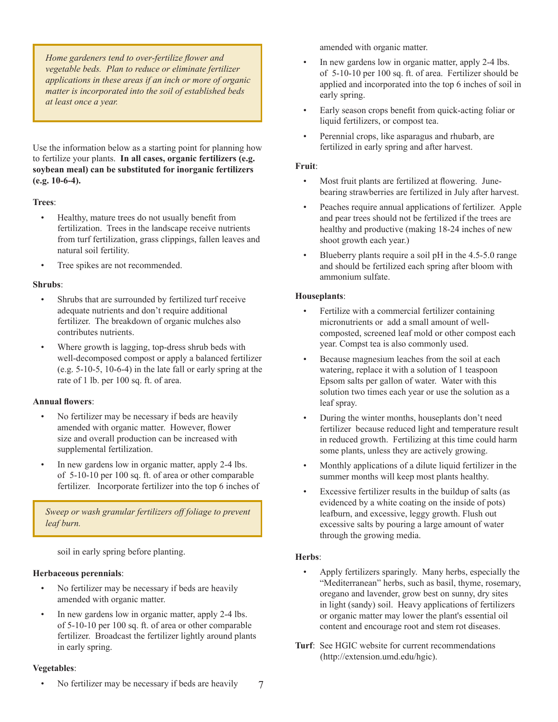*Home gardeners tend to over-fertilize flower and vegetable beds. Plan to reduce or eliminate fertilizer applications in these areas if an inch or more of organic matter is incorporated into the soil of established beds at least once a year.*

Use the information below as a starting point for planning how to fertilize your plants. **In all cases, organic fertilizers (e.g. soybean meal) can be substituted for inorganic fertilizers (e.g. 10-6-4).**

### **Trees**:

- Healthy, mature trees do not usually benefit from fertilization. Trees in the landscape receive nutrients from turf fertilization, grass clippings, fallen leaves and natural soil fertility.
- Tree spikes are not recommended.

### **Shrubs**:

- Shrubs that are surrounded by fertilized turf receive adequate nutrients and don't require additional fertilizer. The breakdown of organic mulches also contributes nutrients.
- Where growth is lagging, top-dress shrub beds with well-decomposed compost or apply a balanced fertilizer (e.g. 5-10-5, 10-6-4) in the late fall or early spring at the rate of 1 lb. per 100 sq. ft. of area.

### **Annual flowers**:

- No fertilizer may be necessary if beds are heavily amended with organic matter. However, flower size and overall production can be increased with supplemental fertilization.
- In new gardens low in organic matter, apply 2-4 lbs. of 5-10-10 per 100 sq. ft. of area or other comparable fertilizer. Incorporate fertilizer into the top 6 inches of

*Sweep or wash granular fertilizers off foliage to prevent leaf burn.* 

soil in early spring before planting.

### **Herbaceous perennials**:

- No fertilizer may be necessary if beds are heavily amended with organic matter.
- In new gardens low in organic matter, apply 2-4 lbs. of 5-10-10 per 100 sq. ft. of area or other comparable fertilizer. Broadcast the fertilizer lightly around plants in early spring.

### **Vegetables**:

• No fertilizer may be necessary if beds are heavily

amended with organic matter.

- In new gardens low in organic matter, apply 2-4 lbs. of 5-10-10 per 100 sq. ft. of area. Fertilizer should be applied and incorporated into the top 6 inches of soil in early spring.
- Early season crops benefit from quick-acting foliar or liquid fertilizers, or compost tea.
- Perennial crops, like asparagus and rhubarb, are fertilized in early spring and after harvest.

### **Fruit**:

- Most fruit plants are fertilized at flowering. Junebearing strawberries are fertilized in July after harvest.
- Peaches require annual applications of fertilizer. Apple and pear trees should not be fertilized if the trees are healthy and productive (making 18-24 inches of new shoot growth each year.)
- Blueberry plants require a soil pH in the 4.5-5.0 range and should be fertilized each spring after bloom with ammonium sulfate.

### **Houseplants**:

- Fertilize with a commercial fertilizer containing micronutrients or add a small amount of wellcomposted, screened leaf mold or other compost each year. Compst tea is also commonly used.
- Because magnesium leaches from the soil at each watering, replace it with a solution of 1 teaspoon Epsom salts per gallon of water. Water with this solution two times each year or use the solution as a leaf spray.
- During the winter months, houseplants don't need fertilizer because reduced light and temperature result in reduced growth. Fertilizing at this time could harm some plants, unless they are actively growing.
- Monthly applications of a dilute liquid fertilizer in the summer months will keep most plants healthy.
- Excessive fertilizer results in the buildup of salts (as evidenced by a white coating on the inside of pots) leafburn, and excessive, leggy growth. Flush out excessive salts by pouring a large amount of water through the growing media.

### **Herbs**:

- Apply fertilizers sparingly. Many herbs, especially the "Mediterranean" herbs, such as basil, thyme, rosemary, oregano and lavender, grow best on sunny, dry sites in light (sandy) soil. Heavy applications of fertilizers or organic matter may lower the plant's essential oil content and encourage root and stem rot diseases.
- **Turf**: See HGIC website for current recommendations (http://extension.umd.edu/hgic).